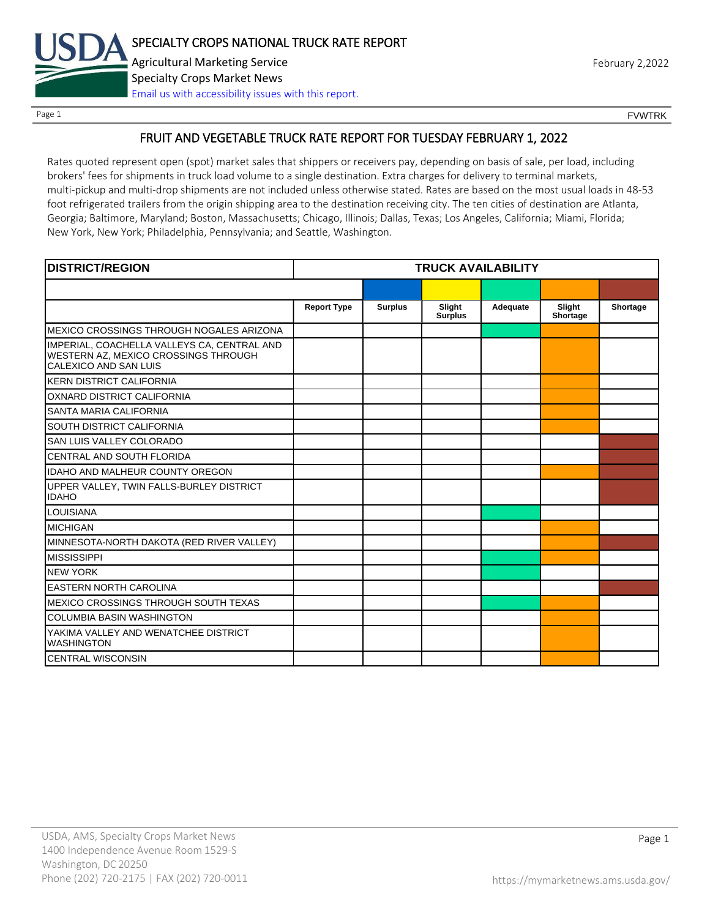

Page 1 FOUNTRK CONTROL CONTROL CONTROL CONTROL CONTROL CONTROL CONTROL CONTROL CONTROL CONTROL CONTROL CONTROL CONTROL CONTROL CONTROL CONTROL CONTROL CONTROL CONTROL CONTROL CONTROL CONTROL CONTROL CONTROL CONTROL CONTROL

# FRUIT AND VEGETABLE TRUCK RATE REPORT FOR TUESDAY FEBRUARY 1, 2022

Rates quoted represent open (spot) market sales that shippers or receivers pay, depending on basis of sale, per load, including brokers' fees for shipments in truck load volume to a single destination. Extra charges for delivery to terminal markets, multi-pickup and multi-drop shipments are not included unless otherwise stated. Rates are based on the most usual loads in 48-53 foot refrigerated trailers from the origin shipping area to the destination receiving city. The ten cities of destination are Atlanta, Georgia; Baltimore, Maryland; Boston, Massachusetts; Chicago, Illinois; Dallas, Texas; Los Angeles, California; Miami, Florida; New York, New York; Philadelphia, Pennsylvania; and Seattle, Washington.

| <b>DISTRICT/REGION</b>                                                                                       | <b>TRUCK AVAILABILITY</b> |                |                          |          |                    |          |
|--------------------------------------------------------------------------------------------------------------|---------------------------|----------------|--------------------------|----------|--------------------|----------|
|                                                                                                              |                           |                |                          |          |                    |          |
|                                                                                                              | <b>Report Type</b>        | <b>Surplus</b> | Slight<br><b>Surplus</b> | Adequate | Slight<br>Shortage | Shortage |
| MEXICO CROSSINGS THROUGH NOGALES ARIZONA                                                                     |                           |                |                          |          |                    |          |
| IMPERIAL, COACHELLA VALLEYS CA, CENTRAL AND<br>WESTERN AZ, MEXICO CROSSINGS THROUGH<br>CALEXICO AND SAN LUIS |                           |                |                          |          |                    |          |
| <b>KERN DISTRICT CALIFORNIA</b>                                                                              |                           |                |                          |          |                    |          |
| OXNARD DISTRICT CALIFORNIA                                                                                   |                           |                |                          |          |                    |          |
| SANTA MARIA CALIFORNIA                                                                                       |                           |                |                          |          |                    |          |
| SOUTH DISTRICT CALIFORNIA                                                                                    |                           |                |                          |          |                    |          |
| SAN LUIS VALLEY COLORADO                                                                                     |                           |                |                          |          |                    |          |
| CENTRAL AND SOUTH FLORIDA                                                                                    |                           |                |                          |          |                    |          |
| <b>IDAHO AND MALHEUR COUNTY OREGON</b>                                                                       |                           |                |                          |          |                    |          |
| UPPER VALLEY, TWIN FALLS-BURLEY DISTRICT<br><b>IDAHO</b>                                                     |                           |                |                          |          |                    |          |
| <b>LOUISIANA</b>                                                                                             |                           |                |                          |          |                    |          |
| <b>MICHIGAN</b>                                                                                              |                           |                |                          |          |                    |          |
| MINNESOTA-NORTH DAKOTA (RED RIVER VALLEY)                                                                    |                           |                |                          |          |                    |          |
| <b>MISSISSIPPI</b>                                                                                           |                           |                |                          |          |                    |          |
| <b>NEW YORK</b>                                                                                              |                           |                |                          |          |                    |          |
| <b>EASTERN NORTH CAROLINA</b>                                                                                |                           |                |                          |          |                    |          |
| MEXICO CROSSINGS THROUGH SOUTH TEXAS                                                                         |                           |                |                          |          |                    |          |
| <b>COLUMBIA BASIN WASHINGTON</b>                                                                             |                           |                |                          |          |                    |          |
| YAKIMA VALLEY AND WENATCHEE DISTRICT<br><b>WASHINGTON</b>                                                    |                           |                |                          |          |                    |          |
| <b>CENTRAL WISCONSIN</b>                                                                                     |                           |                |                          |          |                    |          |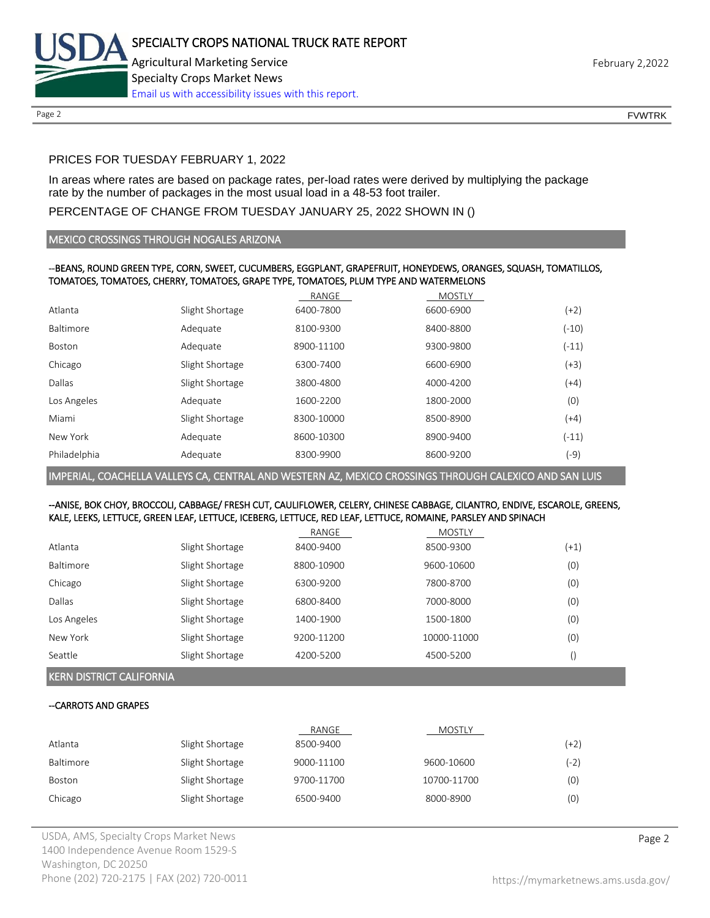

Page 2 FOUNTRK CONTROL CONTROL CONTROL CONTROL CONTROL CONTROL CONTROL CONTROL CONTROL CONTROL CONTROL CONTROL CONTROL CONTROL CONTROL CONTROL CONTROL CONTROL CONTROL CONTROL CONTROL CONTROL CONTROL CONTROL CONTROL CONTROL

# PRICES FOR TUESDAY FEBRUARY 1, 2022

In areas where rates are based on package rates, per-load rates were derived by multiplying the package rate by the number of packages in the most usual load in a 48-53 foot trailer.

# PERCENTAGE OF CHANGE FROM TUESDAY JANUARY 25, 2022 SHOWN IN ()

## MEXICO CROSSINGS THROUGH NOGALES ARIZONA

## --BEANS, ROUND GREEN TYPE, CORN, SWEET, CUCUMBERS, EGGPLANT, GRAPEFRUIT, HONEYDEWS, ORANGES, SQUASH, TOMATILLOS, TOMATOES, TOMATOES, CHERRY, TOMATOES, GRAPE TYPE, TOMATOES, PLUM TYPE AND WATERMELONS

|              |                 | RANGE      | <b>MOSTLY</b> |         |
|--------------|-----------------|------------|---------------|---------|
| Atlanta      | Slight Shortage | 6400-7800  | 6600-6900     | $(+2)$  |
| Baltimore    | Adequate        | 8100-9300  | 8400-8800     | $(-10)$ |
| Boston       | Adequate        | 8900-11100 | 9300-9800     | $(-11)$ |
| Chicago      | Slight Shortage | 6300-7400  | 6600-6900     | $(+3)$  |
| Dallas       | Slight Shortage | 3800-4800  | 4000-4200     | (+4)    |
| Los Angeles  | Adequate        | 1600-2200  | 1800-2000     | (0)     |
| Miami        | Slight Shortage | 8300-10000 | 8500-8900     | (+4)    |
| New York     | Adequate        | 8600-10300 | 8900-9400     | $(-11)$ |
| Philadelphia | Adequate        | 8300-9900  | 8600-9200     | (-9)    |
|              |                 |            |               |         |

IMPERIAL, COACHELLA VALLEYS CA, CENTRAL AND WESTERN AZ, MEXICO CROSSINGS THROUGH CALEXICO AND SAN LUIS

## --ANISE, BOK CHOY, BROCCOLI, CABBAGE/ FRESH CUT, CAULIFLOWER, CELERY, CHINESE CABBAGE, CILANTRO, ENDIVE, ESCAROLE, GREENS, KALE, LEEKS, LETTUCE, GREEN LEAF, LETTUCE, ICEBERG, LETTUCE, RED LEAF, LETTUCE, ROMAINE, PARSLEY AND SPINACH

|             |                 | RANGE      | <b>MOSTLY</b> |        |
|-------------|-----------------|------------|---------------|--------|
| Atlanta     | Slight Shortage | 8400-9400  | 8500-9300     | $(+1)$ |
| Baltimore   | Slight Shortage | 8800-10900 | 9600-10600    | (0)    |
| Chicago     | Slight Shortage | 6300-9200  | 7800-8700     | (0)    |
| Dallas      | Slight Shortage | 6800-8400  | 7000-8000     | (0)    |
| Los Angeles | Slight Shortage | 1400-1900  | 1500-1800     | (0)    |
| New York    | Slight Shortage | 9200-11200 | 10000-11000   | (0)    |
| Seattle     | Slight Shortage | 4200-5200  | 4500-5200     |        |

# KERN DISTRICT CALIFORNIA

# --CARROTS AND GRAPES

|           |                 | RANGE      | <b>MOSTLY</b> |        |
|-----------|-----------------|------------|---------------|--------|
| Atlanta   | Slight Shortage | 8500-9400  |               | $(+2)$ |
| Baltimore | Slight Shortage | 9000-11100 | 9600-10600    | (-2)   |
| Boston    | Slight Shortage | 9700-11700 | 10700-11700   | (0)    |
| Chicago   | Slight Shortage | 6500-9400  | 8000-8900     | (0)    |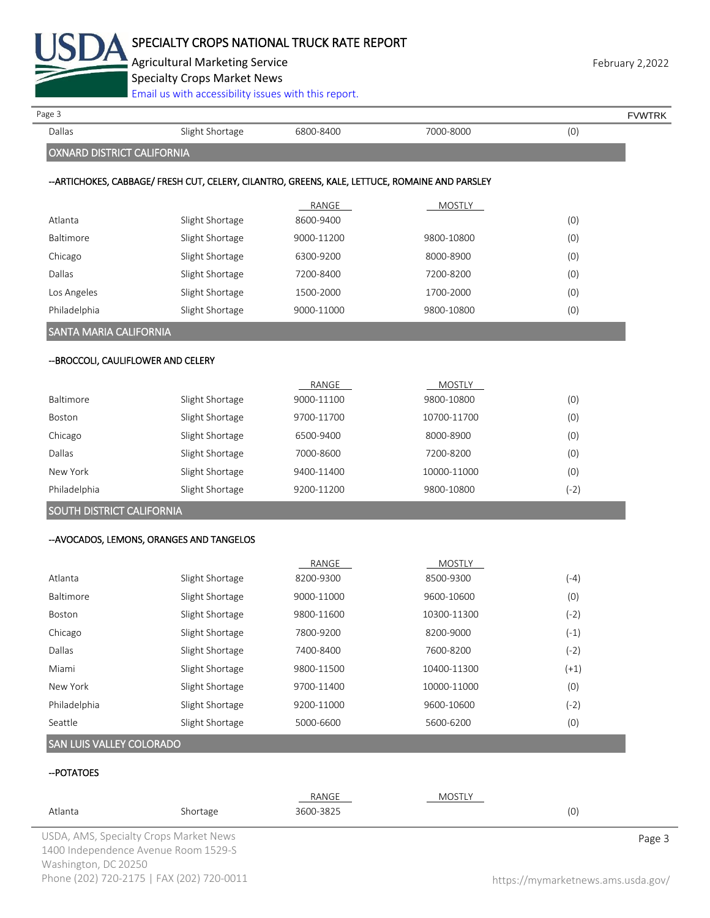

Agricultural Marketing Service **February 2,2022 February 2,2022** 

Specialty Crops Market News

| Page 3                              |                                                                                                |            |               |        | <b>FVWTRK</b> |
|-------------------------------------|------------------------------------------------------------------------------------------------|------------|---------------|--------|---------------|
| Dallas                              | Slight Shortage                                                                                | 6800-8400  | 7000-8000     | (0)    |               |
| OXNARD DISTRICT CALIFORNIA          |                                                                                                |            |               |        |               |
|                                     | --ARTICHOKES, CABBAGE/ FRESH CUT, CELERY, CILANTRO, GREENS, KALE, LETTUCE, ROMAINE AND PARSLEY |            |               |        |               |
|                                     |                                                                                                | RANGE      | <b>MOSTLY</b> |        |               |
| Atlanta                             | Slight Shortage                                                                                | 8600-9400  |               | (0)    |               |
| Baltimore                           | Slight Shortage                                                                                | 9000-11200 | 9800-10800    | (0)    |               |
| Chicago                             | Slight Shortage                                                                                | 6300-9200  | 8000-8900     | (0)    |               |
| Dallas                              | Slight Shortage                                                                                | 7200-8400  | 7200-8200     | (0)    |               |
| Los Angeles                         | Slight Shortage                                                                                | 1500-2000  | 1700-2000     | (0)    |               |
| Philadelphia                        | Slight Shortage                                                                                | 9000-11000 | 9800-10800    | (0)    |               |
| SANTA MARIA CALIFORNIA              |                                                                                                |            |               |        |               |
| -- BROCCOLI, CAULIFLOWER AND CELERY |                                                                                                |            |               |        |               |
|                                     |                                                                                                | RANGE      | <b>MOSTLY</b> |        |               |
| Baltimore                           | Slight Shortage                                                                                | 9000-11100 | 9800-10800    | (0)    |               |
| <b>Boston</b>                       | Slight Shortage                                                                                | 9700-11700 | 10700-11700   | (0)    |               |
| Chicago                             | Slight Shortage                                                                                | 6500-9400  | 8000-8900     | (0)    |               |
| <b>Dallas</b>                       | Slight Shortage                                                                                | 7000-8600  | 7200-8200     | (0)    |               |
| New York                            | Slight Shortage                                                                                | 9400-11400 | 10000-11000   | (0)    |               |
| Philadelphia                        | Slight Shortage                                                                                | 9200-11200 | 9800-10800    | $(-2)$ |               |
| SOUTH DISTRICT CALIFORNIA           |                                                                                                |            |               |        |               |
|                                     | -- AVOCADOS, LEMONS, ORANGES AND TANGELOS                                                      |            |               |        |               |
|                                     |                                                                                                | RANGE      | <b>MOSTLY</b> |        |               |
| Atlanta                             | Slight Shortage                                                                                | 8200-9300  | 8500-9300     | $(-4)$ |               |
| Baltimore                           | Slight Shortage                                                                                | 9000-11000 | 9600-10600    | (0)    |               |
| Boston                              | Slight Shortage                                                                                | 9800-11600 | 10300-11300   | $(-2)$ |               |
| Chicago                             | Slight Shortage                                                                                | 7800-9200  | 8200-9000     | $(-1)$ |               |
| Dallas                              | Slight Shortage                                                                                | 7400-8400  | 7600-8200     | $(-2)$ |               |
| Miami                               | Slight Shortage                                                                                | 9800-11500 | 10400-11300   | $(+1)$ |               |
| New York                            | Slight Shortage                                                                                | 9700-11400 | 10000-11000   | (0)    |               |
| Philadelphia                        | Slight Shortage                                                                                | 9200-11000 | 9600-10600    | $(-2)$ |               |
|                                     | Slight Shortage                                                                                | 5000-6600  | 5600-6200     | (0)    |               |

| Atlanta                             | Shortage                               | RANGE<br>3600-3825 | MOSTLY | (0) |        |
|-------------------------------------|----------------------------------------|--------------------|--------|-----|--------|
|                                     | USDA, AMS, Specialty Crops Market News |                    |        |     | Page 3 |
| $\cdots$ $\cdots$ $\alpha$ $\alpha$ | 1400 Independence Avenue Room 1529-S   |                    |        |     |        |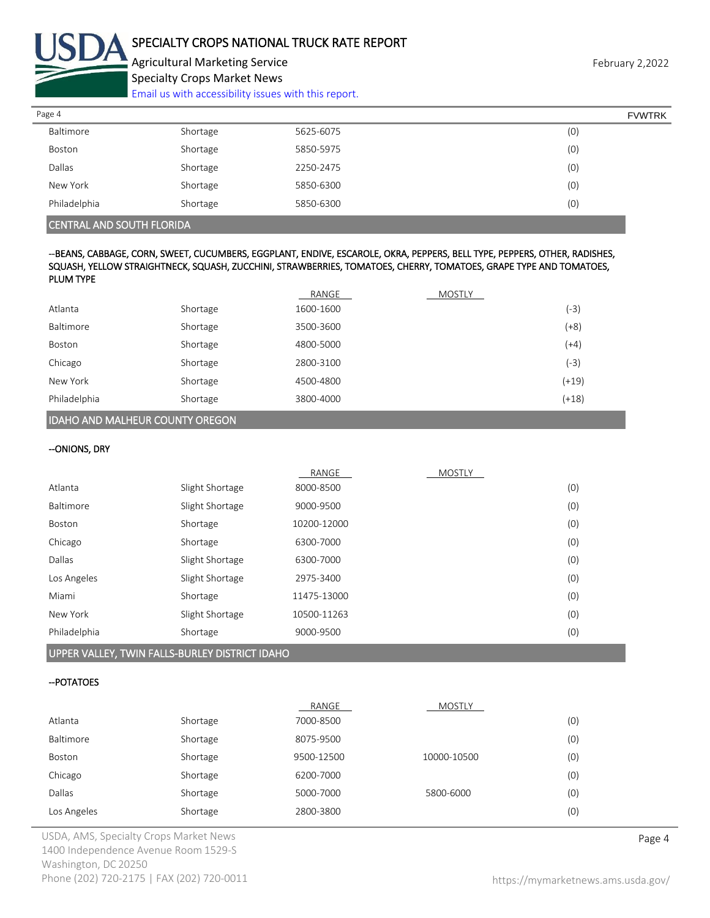

Agricultural Marketing Service **February 2,2022** February 2,2022 Specialty Crops Market News

[Email us with accessibility issues with this report.](mailto:mars@ams.usda.gov?subject=508%20Inquiry/Report)

| Page 4       |          |           | <b>FVWTRK</b> |
|--------------|----------|-----------|---------------|
| Baltimore    | Shortage | 5625-6075 | (0)           |
| Boston       | Shortage | 5850-5975 | (0)           |
| Dallas       | Shortage | 2250-2475 | (0)           |
| New York     | Shortage | 5850-6300 | (0)           |
| Philadelphia | Shortage | 5850-6300 | (0)           |
|              |          |           |               |

## CENTRAL AND SOUTH FLORIDA

#### --BEANS, CABBAGE, CORN, SWEET, CUCUMBERS, EGGPLANT, ENDIVE, ESCAROLE, OKRA, PEPPERS, BELL TYPE, PEPPERS, OTHER, RADISHES, SQUASH, YELLOW STRAIGHTNECK, SQUASH, ZUCCHINI, STRAWBERRIES, TOMATOES, CHERRY, TOMATOES, GRAPE TYPE AND TOMATOES, PLUM TYPE

|              |          | RANGE     | <b>MOSTLY</b> |         |
|--------------|----------|-----------|---------------|---------|
| Atlanta      | Shortage | 1600-1600 |               | (-3)    |
| Baltimore    | Shortage | 3500-3600 |               | $(+8)$  |
| Boston       | Shortage | 4800-5000 |               | (+4)    |
| Chicago      | Shortage | 2800-3100 |               | (-3)    |
| New York     | Shortage | 4500-4800 |               | $(+19)$ |
| Philadelphia | Shortage | 3800-4000 |               | $(+18)$ |

## IDAHO AND MALHEUR COUNTY OREGON

#### --ONIONS, DRY

|              |                 | RANGE       | <b>MOSTLY</b> |     |
|--------------|-----------------|-------------|---------------|-----|
| Atlanta      | Slight Shortage | 8000-8500   |               | (0) |
| Baltimore    | Slight Shortage | 9000-9500   |               | (0) |
| Boston       | Shortage        | 10200-12000 |               | (0) |
| Chicago      | Shortage        | 6300-7000   |               | (0) |
| Dallas       | Slight Shortage | 6300-7000   |               | (0) |
| Los Angeles  | Slight Shortage | 2975-3400   |               | (0) |
| Miami        | Shortage        | 11475-13000 |               | (0) |
| New York     | Slight Shortage | 10500-11263 |               | (0) |
| Philadelphia | Shortage        | 9000-9500   |               | (0) |
|              |                 |             |               |     |

#### UPPER VALLEY, TWIN FALLS-BURLEY DISTRICT IDAHO

#### --POTATOES

|             |          | RANGE      | <b>MOSTLY</b> |     |
|-------------|----------|------------|---------------|-----|
| Atlanta     | Shortage | 7000-8500  |               | (0) |
| Baltimore   | Shortage | 8075-9500  |               | (0) |
| Boston      | Shortage | 9500-12500 | 10000-10500   | (0) |
| Chicago     | Shortage | 6200-7000  |               | (0) |
| Dallas      | Shortage | 5000-7000  | 5800-6000     | (0) |
| Los Angeles | Shortage | 2800-3800  |               | (0) |

USDA, AMS, Specialty Crops Market News **Page 4** 1400 Independence Avenue Room 1529-S Washington, DC 20250 Phone (202) 720-2175 | FAX (202) 720-0011 <https://mymarketnews.ams.usda.gov/>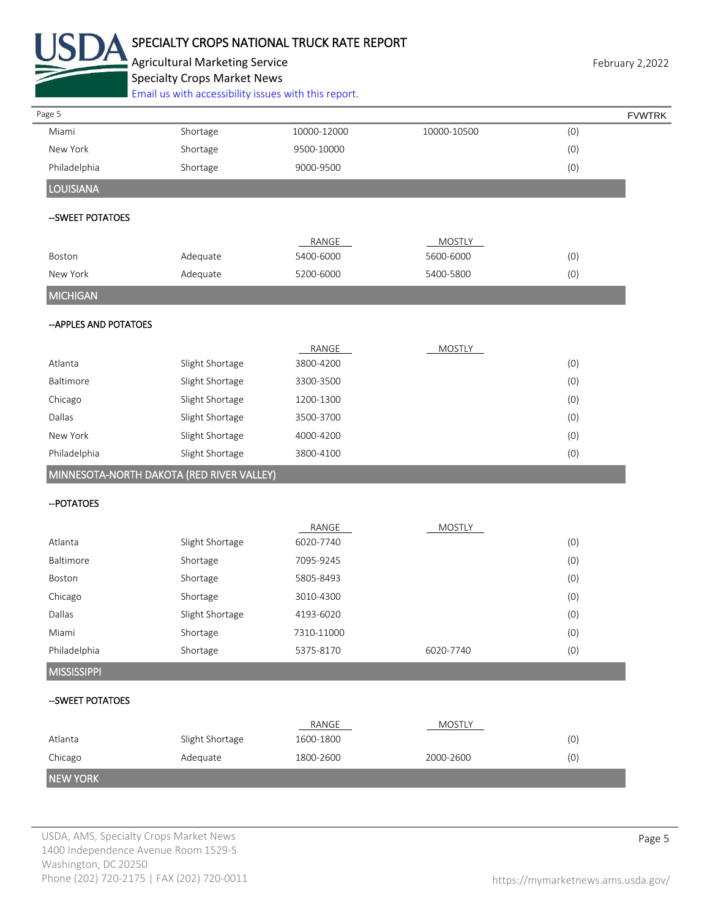

# SPECIALTY CROPS NATIONAL TRUCK RATE REPORT

Agricultural Marketing Service **February 2,2022** February 2,2022 Specialty Crops Market News

[Email us with accessibility issues with this report.](mailto:mars@ams.usda.gov?subject=508%20Inquiry/Report)

|                        |             |                                           |            | <b>FVWTRK</b> |
|------------------------|-------------|-------------------------------------------|------------|---------------|
| Shortage               | 10000-12000 | 10000-10500                               | (0)        |               |
| Shortage               | 9500-10000  |                                           | (0)        |               |
| Shortage               | 9000-9500   |                                           | (0)        |               |
|                        |             |                                           |            |               |
|                        |             |                                           |            |               |
|                        | RANGE       | <b>MOSTLY</b>                             |            |               |
| Adequate               | 5400-6000   | 5600-6000                                 | (0)        |               |
| Adequate               | 5200-6000   | 5400-5800                                 | (0)        |               |
|                        |             |                                           |            |               |
| -- APPLES AND POTATOES |             |                                           |            |               |
|                        | RANGE       | <b>MOSTLY</b>                             |            |               |
| Slight Shortage        | 3800-4200   |                                           | (0)        |               |
| Slight Shortage        | 3300-3500   |                                           | (0)        |               |
| Slight Shortage        | 1200-1300   |                                           | (0)        |               |
| Slight Shortage        | 3500-3700   |                                           | (0)        |               |
| Slight Shortage        | 4000-4200   |                                           | (0)        |               |
| Slight Shortage        | 3800-4100   |                                           | (0)        |               |
|                        |             |                                           |            |               |
|                        |             |                                           |            |               |
|                        | RANGE       | <b>MOSTLY</b>                             |            |               |
| Slight Shortage        | 6020-7740   |                                           | (0)        |               |
| Shortage               | 7095-9245   |                                           | (0)        |               |
| Shortage               | 5805-8493   |                                           | (0)        |               |
| Shortage               | 3010-4300   |                                           | (0)        |               |
| Slight Shortage        | 4193-6020   |                                           | (0)        |               |
| Shortage               | 7310-11000  |                                           | (0)        |               |
| Shortage               | 5375-8170   | 6020-7740                                 | (0)        |               |
|                        |             |                                           |            |               |
|                        |             |                                           |            |               |
|                        | RANGE       | <b>MOSTLY</b>                             |            |               |
| Slight Shortage        | 1600-1800   |                                           | (0)<br>(0) |               |
| Adequate               | 1800-2600   |                                           |            |               |
|                        |             | MINNESOTA-NORTH DAKOTA (RED RIVER VALLEY) |            |               |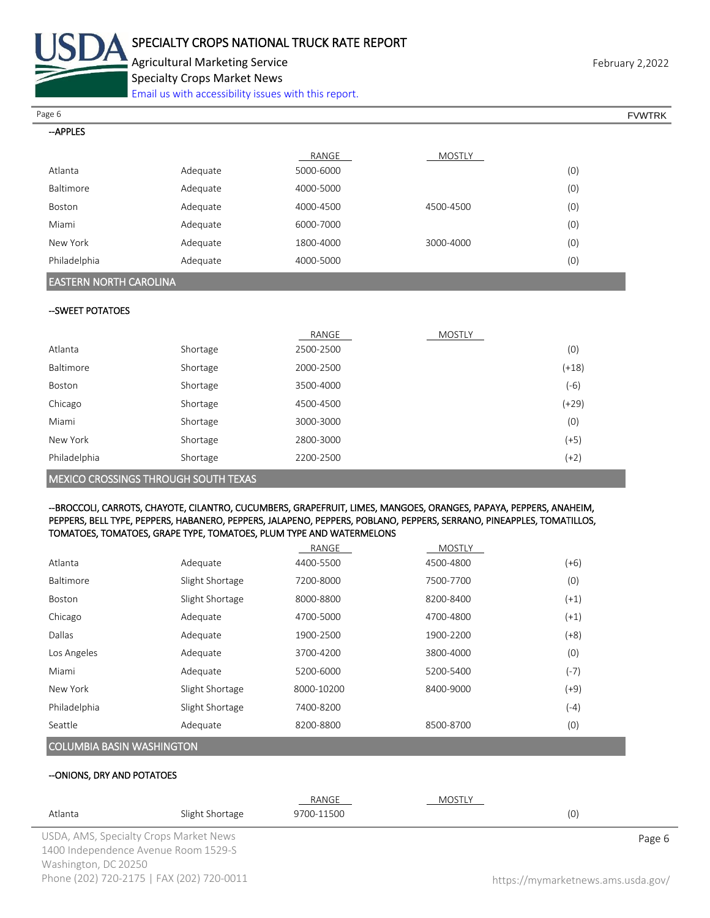

Agricultural Marketing Service **February 2,2022** Specialty Crops Market News

[Email us with accessibility issues with this report.](mailto:mars@ams.usda.gov?subject=508%20Inquiry/Report)

| Page 6       |          |           |           |     | <b>FVWTRK</b> |
|--------------|----------|-----------|-----------|-----|---------------|
| --APPLES     |          |           |           |     |               |
|              |          | RANGE     | MOSTLY    |     |               |
| Atlanta      | Adequate | 5000-6000 |           | (0) |               |
| Baltimore    | Adequate | 4000-5000 |           | (0) |               |
| Boston       | Adequate | 4000-4500 | 4500-4500 | (0) |               |
| Miami        | Adequate | 6000-7000 |           | (0) |               |
| New York     | Adequate | 1800-4000 | 3000-4000 | (0) |               |
| Philadelphia | Adequate | 4000-5000 |           | (0) |               |

## EASTERN NORTH CAROLINA

#### --SWEET POTATOES

|                                             |          | RANGE     | MOSTLY |         |
|---------------------------------------------|----------|-----------|--------|---------|
| Atlanta                                     | Shortage | 2500-2500 |        | (0)     |
| Baltimore                                   | Shortage | 2000-2500 |        | $(+18)$ |
| Boston                                      | Shortage | 3500-4000 |        | $(-6)$  |
| Chicago                                     | Shortage | 4500-4500 |        | $(+29)$ |
| Miami                                       | Shortage | 3000-3000 |        | (0)     |
| New York                                    | Shortage | 2800-3000 |        | $(+5)$  |
| Philadelphia                                | Shortage | 2200-2500 |        | $(+2)$  |
| <b>MEXICO CROSSINGS THROUGH SOUTH TEXAS</b> |          |           |        |         |

#### --BROCCOLI, CARROTS, CHAYOTE, CILANTRO, CUCUMBERS, GRAPEFRUIT, LIMES, MANGOES, ORANGES, PAPAYA, PEPPERS, ANAHEIM, PEPPERS, BELL TYPE, PEPPERS, HABANERO, PEPPERS, JALAPENO, PEPPERS, POBLANO, PEPPERS, SERRANO, PINEAPPLES, TOMATILLOS, TOMATOES, TOMATOES, GRAPE TYPE, TOMATOES, PLUM TYPE AND WATERMELONS

|                                  |                 | RANGE      | <b>MOSTLY</b> |        |
|----------------------------------|-----------------|------------|---------------|--------|
| Atlanta                          | Adequate        | 4400-5500  | 4500-4800     | $(+6)$ |
| Baltimore                        | Slight Shortage | 7200-8000  | 7500-7700     | (0)    |
| <b>Boston</b>                    | Slight Shortage | 8000-8800  | 8200-8400     | $(+1)$ |
| Chicago                          | Adequate        | 4700-5000  | 4700-4800     | $(+1)$ |
| Dallas                           | Adequate        | 1900-2500  | 1900-2200     | (+8)   |
| Los Angeles                      | Adequate        | 3700-4200  | 3800-4000     | (0)    |
| Miami                            | Adequate        | 5200-6000  | 5200-5400     | $(-7)$ |
| New York                         | Slight Shortage | 8000-10200 | 8400-9000     | (+9)   |
| Philadelphia                     | Slight Shortage | 7400-8200  |               | (-4)   |
| Seattle                          | Adequate        | 8200-8800  | 8500-8700     | (0)    |
| <b>COLUMBIA BASIN WASHINGTON</b> |                 |            |               |        |

#### --ONIONS, DRY AND POTATOES

|                      |                                           | RANGE      | MOSTLY |                                    |
|----------------------|-------------------------------------------|------------|--------|------------------------------------|
| Atlanta              | Slight Shortage                           | 9700-11500 |        | (0)                                |
|                      | USDA, AMS, Specialty Crops Market News    |            |        | Page 6                             |
|                      | 1400 Independence Avenue Room 1529-S      |            |        |                                    |
| Washington, DC 20250 |                                           |            |        |                                    |
|                      | Phone (202) 720-2175   FAX (202) 720-0011 |            |        | https://mymarketnews.ams.usda.gov/ |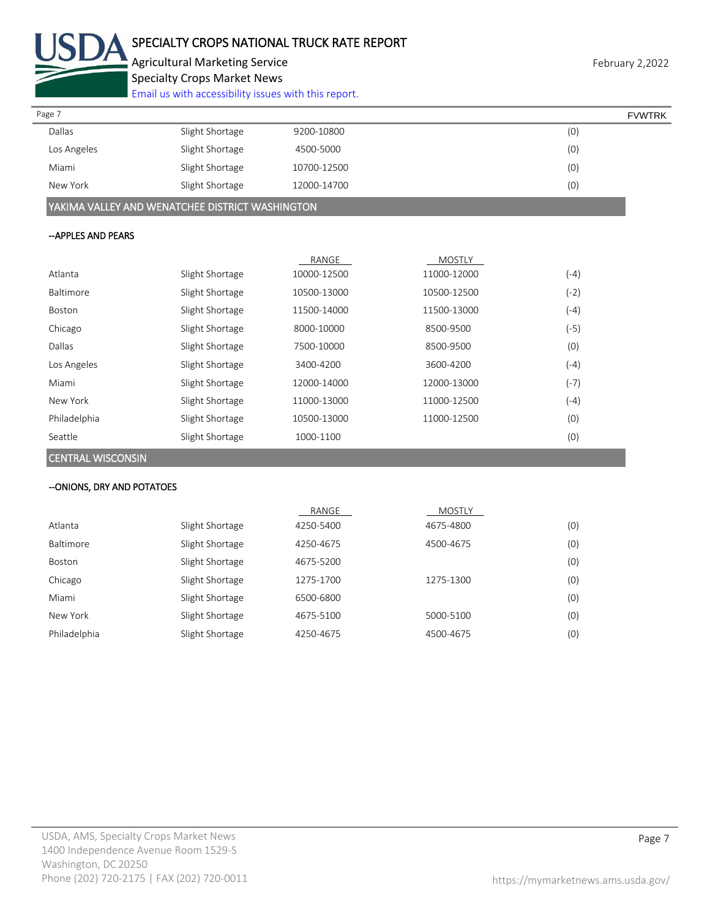

Agricultural Marketing Service **February 2,2022** February 2,2022 Specialty Crops Market News

[Email us with accessibility issues with this report.](mailto:mars@ams.usda.gov?subject=508%20Inquiry/Report)

| Page 7        |                 |             | <b>FVWTRK</b> |
|---------------|-----------------|-------------|---------------|
| <b>Dallas</b> | Slight Shortage | 9200-10800  | (0)           |
| Los Angeles   | Slight Shortage | 4500-5000   | (0)           |
| Miami         | Slight Shortage | 10700-12500 | (0)           |
| New York      | Slight Shortage | 12000-14700 | (0)           |
|               |                 |             |               |

YAKIMA VALLEY AND WENATCHEE DISTRICT WASHINGTON

#### --APPLES AND PEARS

|              |                 | RANGE       | <b>MOSTLY</b> |        |
|--------------|-----------------|-------------|---------------|--------|
| Atlanta      | Slight Shortage | 10000-12500 | 11000-12000   | $(-4)$ |
| Baltimore    | Slight Shortage | 10500-13000 | 10500-12500   | $(-2)$ |
| Boston       | Slight Shortage | 11500-14000 | 11500-13000   | (-4)   |
| Chicago      | Slight Shortage | 8000-10000  | 8500-9500     | (-5)   |
| Dallas       | Slight Shortage | 7500-10000  | 8500-9500     | (0)    |
| Los Angeles  | Slight Shortage | 3400-4200   | 3600-4200     | (-4)   |
| Miami        | Slight Shortage | 12000-14000 | 12000-13000   | $(-7)$ |
| New York     | Slight Shortage | 11000-13000 | 11000-12500   | (-4)   |
| Philadelphia | Slight Shortage | 10500-13000 | 11000-12500   | (0)    |
| Seattle      | Slight Shortage | 1000-1100   |               | (0)    |

CENTRAL WISCONSIN

#### --ONIONS, DRY AND POTATOES

|              |                 | RANGE     | <b>MOSTLY</b> |     |
|--------------|-----------------|-----------|---------------|-----|
| Atlanta      | Slight Shortage | 4250-5400 | 4675-4800     | (0) |
| Baltimore    | Slight Shortage | 4250-4675 | 4500-4675     | (0) |
| Boston       | Slight Shortage | 4675-5200 |               | (0) |
| Chicago      | Slight Shortage | 1275-1700 | 1275-1300     | (0) |
| Miami        | Slight Shortage | 6500-6800 |               | (0) |
| New York     | Slight Shortage | 4675-5100 | 5000-5100     | (0) |
| Philadelphia | Slight Shortage | 4250-4675 | 4500-4675     | (0) |